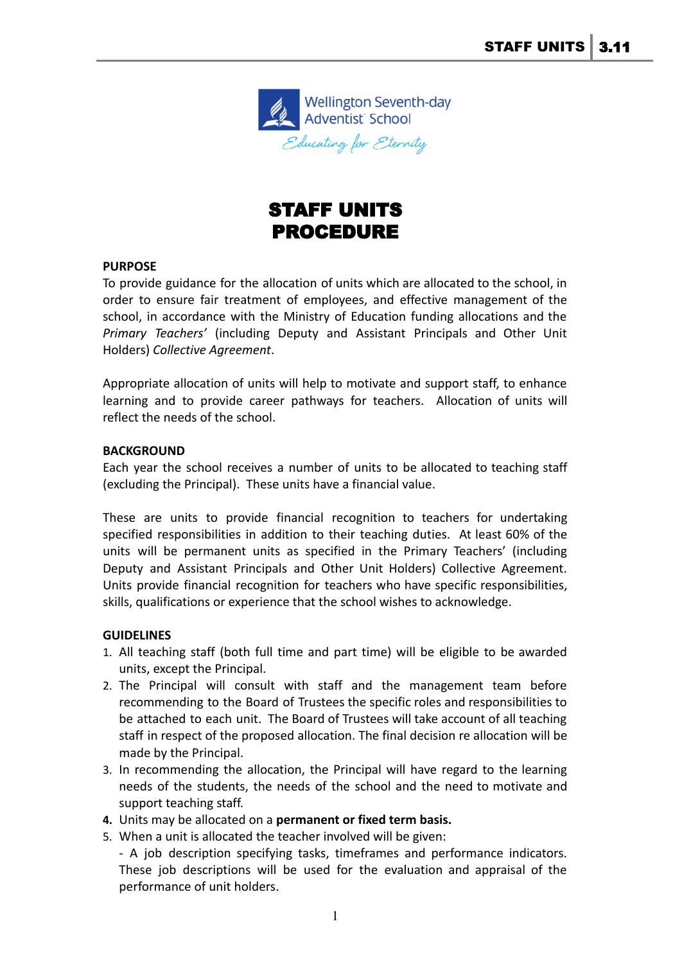

## STAFF UNITS PROCEDURE

## **PURPOSE**

To provide guidance for the allocation of units which are allocated to the school, in order to ensure fair treatment of employees, and effective management of the school, in accordance with the Ministry of Education funding allocations and the *Primary Teachers'* (including Deputy and Assistant Principals and Other Unit Holders) *Collective Agreement*.

Appropriate allocation of units will help to motivate and support staff, to enhance learning and to provide career pathways for teachers. Allocation of units will reflect the needs of the school.

## **BACKGROUND**

Each year the school receives a number of units to be allocated to teaching staff (excluding the Principal). These units have a financial value.

These are units to provide financial recognition to teachers for undertaking specified responsibilities in addition to their teaching duties. At least 60% of the units will be permanent units as specified in the Primary Teachers' (including Deputy and Assistant Principals and Other Unit Holders) Collective Agreement. Units provide financial recognition for teachers who have specific responsibilities, skills, qualifications or experience that the school wishes to acknowledge.

## **GUIDELINES**

- 1. All teaching staff (both full time and part time) will be eligible to be awarded units, except the Principal.
- 2. The Principal will consult with staff and the management team before recommending to the Board of Trustees the specific roles and responsibilities to be attached to each unit. The Board of Trustees will take account of all teaching staff in respect of the proposed allocation. The final decision re allocation will be made by the Principal.
- 3. In recommending the allocation, the Principal will have regard to the learning needs of the students, the needs of the school and the need to motivate and support teaching staff.
- **4.** Units may be allocated on a **permanent or fixed term basis.**
- 5. When a unit is allocated the teacher involved will be given:

- A job description specifying tasks, timeframes and performance indicators. These job descriptions will be used for the evaluation and appraisal of the performance of unit holders.